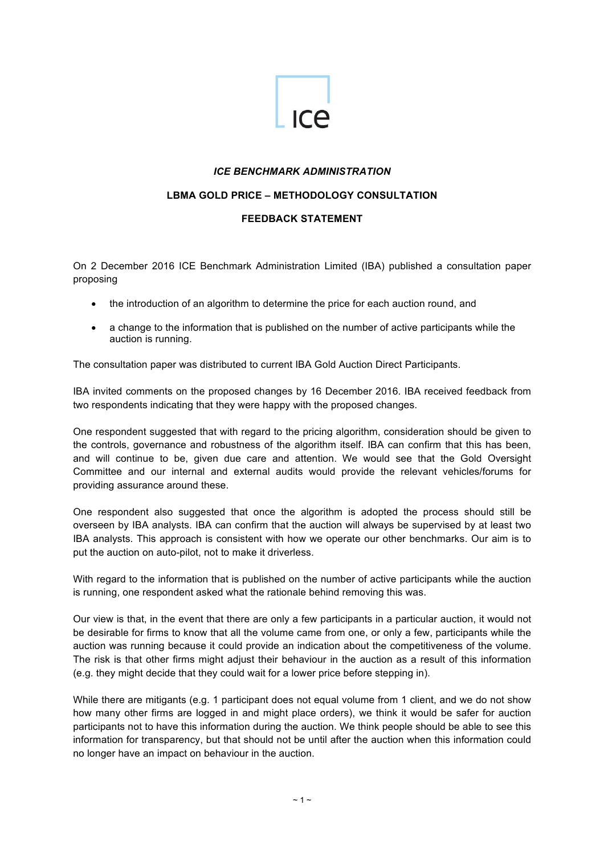

## *ICE BENCHMARK ADMINISTRATION*

## **LBMA GOLD PRICE – METHODOLOGY CONSULTATION**

## **FEEDBACK STATEMENT**

On 2 December 2016 ICE Benchmark Administration Limited (IBA) published a consultation paper proposing

- the introduction of an algorithm to determine the price for each auction round, and
- a change to the information that is published on the number of active participants while the auction is running.

The consultation paper was distributed to current IBA Gold Auction Direct Participants.

IBA invited comments on the proposed changes by 16 December 2016. IBA received feedback from two respondents indicating that they were happy with the proposed changes.

One respondent suggested that with regard to the pricing algorithm, consideration should be given to the controls, governance and robustness of the algorithm itself. IBA can confirm that this has been, and will continue to be, given due care and attention. We would see that the Gold Oversight Committee and our internal and external audits would provide the relevant vehicles/forums for providing assurance around these.

One respondent also suggested that once the algorithm is adopted the process should still be overseen by IBA analysts. IBA can confirm that the auction will always be supervised by at least two IBA analysts. This approach is consistent with how we operate our other benchmarks. Our aim is to put the auction on auto-pilot, not to make it driverless.

With regard to the information that is published on the number of active participants while the auction is running, one respondent asked what the rationale behind removing this was.

Our view is that, in the event that there are only a few participants in a particular auction, it would not be desirable for firms to know that all the volume came from one, or only a few, participants while the auction was running because it could provide an indication about the competitiveness of the volume. The risk is that other firms might adjust their behaviour in the auction as a result of this information (e.g. they might decide that they could wait for a lower price before stepping in).

While there are mitigants (e.g. 1 participant does not equal volume from 1 client, and we do not show how many other firms are logged in and might place orders), we think it would be safer for auction participants not to have this information during the auction. We think people should be able to see this information for transparency, but that should not be until after the auction when this information could no longer have an impact on behaviour in the auction.